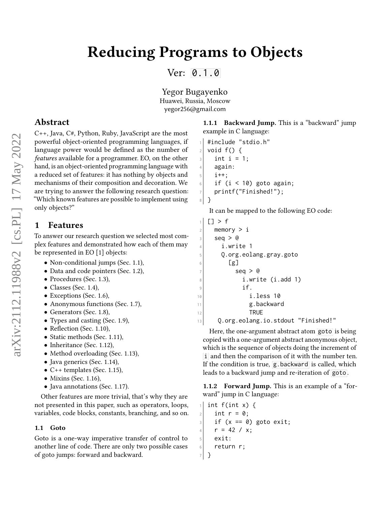Ver: [0.1.0](https://github.com/yegor256/reducing-programs-to-objects/releases/tag/0.1.0)

Yegor Bugayenko Huawei, Russia, Moscow yegor256@gmail.com

# Abstract

C++, Java, C#, Python, Ruby, JavaScript are the most powerful object-oriented programming languages, if language power would be defined as the number of features available for a programmer. EO, on the other hand, is an object-oriented programming language with a reduced set of features: it has nothing by objects and mechanisms of their composition and decoration. We are trying to answer the following research question: "Which known features are possible to implement using only objects?"

# 1 Features

To answer our research question we selected most complex features and demonstrated how each of them may be represented in EO [\[1\]](#page-10-0) objects:

- Non-conditional jumps (Sec. [1.1\)](#page-0-0),
- Data and code pointers (Sec. [1.2\)](#page-2-0),
- Procedures (Sec. [1.3\)](#page-3-0),
- Classes (Sec. [1.4\)](#page-3-1),
- Exceptions (Sec. [1.6\)](#page-4-0),
- Anonymous functions (Sec. [1.7\)](#page-5-0),
- Generators (Sec. [1.8\)](#page-5-1),
- Types and casting (Sec. [1.9\)](#page-5-2),
- Reflection (Sec. [1.10\)](#page-6-0),
- Static methods (Sec. [1.11\)](#page-7-0),
- Inheritance (Sec. [1.12\)](#page-7-1),
- Method overloading (Sec. [1.13\)](#page-8-0),
- Java generics (Sec. [1.14\)](#page-8-1),
- $C++$  templates (Sec. [1.15\)](#page-8-2),
- Mixins (Sec. [1.16\)](#page-9-0),
- Java annotations (Sec. [1.17\)](#page-9-1).

Other features are more trivial, that's why they are not presented in this paper, such as operators, loops, variables, code blocks, constants, branching, and so on.

#### <span id="page-0-0"></span>1.1 Goto

Goto is a one-way imperative transfer of control to another line of code. There are only two possible cases of goto jumps: forward and backward.

1.1.1 Backward Jump. This is a "backward" jump example in C language:

```
1 #include "stdio.h"
2 void f() {
3 int i = 1;
4 again:
5 i++;
6 if (i < 10) goto again;
7 printf("Finished!");
8 }
```
It can be mapped to the following EO code:

```
1 [] > f
|2| memory > i
3 \vert seq > @
4 i.write 1
5 Q.org.eolang.gray.goto
6 [g]
7 seq > @
8 i.write (i.add 1)
9 if.
10 i.less 10
11 g.backward
12 TRUE
13 Q.org.eolang.io.stdout "Finished!"
```
Here, the one-argument abstract atom goto is being copied with a one-argument abstract anonymous object, which is the sequence of objects doing the increment of i and then the comparison of it with the number ten. If the condition is true,  $g$  backward is called, which leads to a backward jump and re-iteration of goto .

1.1.2 Forward Jump. This is an example of a "forward" jump in C language:

```
1 int f(int x) {
2 \mid int r = 0;
3 if (x == 0) goto exit;
4 r = 42 / x;5 exit:
6 return r;
7 }
```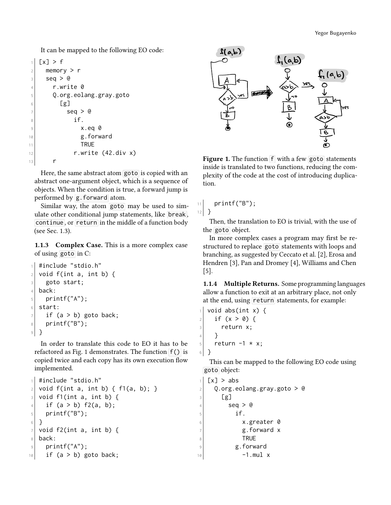It can be mapped to the following EO code:

```
[x] > f|2| memory > r
3 \vert seq > @
4 r.write 0
5 Q.org.eolang.gray.goto
6 [g]
7 seq > @
\frac{1}{8} if.
9 x.eq 0
10 g.forward
11 TRUE
12 r.write (42.div x)
13 r
```
Here, the same abstract atom goto is copied with an abstract one-argument object, which is a sequence of objects. When the condition is true, a forward jump is performed by g.forward atom.

Similar way, the atom goto may be used to simulate other conditional jump statements, like break , continue, or return in the middle of a function body (see Sec. [1.3\)](#page-3-0).

1.1.3 Complex Case. This is a more complex case of using goto in C:

```
1 #include "stdio.h"
_2 void f(int a, int b) {
3 goto start;
4 back:
5 printf("A");
6 start:
7 if (a > b) goto back;
\vert printf("B");
9 }
```
In order to translate this code to EO it has to be refactored as Fig. [1](#page-1-0) demonstrates. The function  $f()$  is copied twice and each copy has its own execution flow implemented.

```
_1 #include "stdio.h"
|2| void f(int a, int b) { f1(a, b); }
\vert void f1(int a, int b) {
4 if (a > b) f2(a, b);
5 printf("B");
6 }
7 void f2(int a, int b) {
\vert back:
\left| \circ \right| printf("A");
10 if (a > b) goto back;
```
<span id="page-1-0"></span>

Figure 1. The function f with a few goto statements inside is translated to two functions, reducing the complexity of the code at the cost of introducing duplication.

```
11 printf("B");
12 }
```
Then, the translation to EO is trivial, with the use of the goto object.

In more complex cases a program may first be restructured to replace goto statements with loops and branching, as suggested by Ceccato et al. [\[2\]](#page-10-1), Erosa and Hendren [\[3\]](#page-10-2), Pan and Dromey [\[4\]](#page-10-3), Williams and Chen [\[5\]](#page-10-4).

1.1.4 Multiple Returns. Some programming languages allow a function to exit at an arbitrary place, not only at the end, using return statements, for example:

```
void abs(int x) {
2 if (x > 0) {
3 return x;
4 }
5 return -1 \times x;
6 }
```
This can be mapped to the following EO code using goto object:

```
\lceil x \rceil > abs
|2| Q.org.eolang.gray.goto > @
3 [g]
4 \log 95 if.
6 x.greater 0
         g.forward x
8 TRUE
9 g.forward
10 -1.mul x
```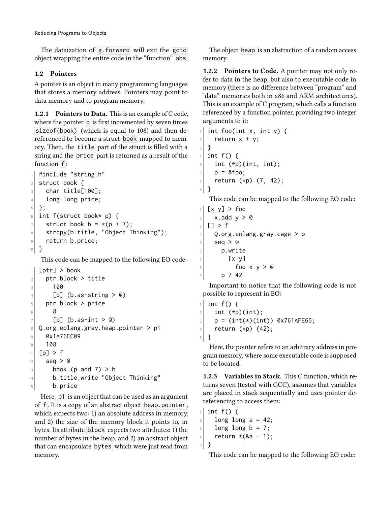The dataization of g.forward will exit the goto object wrapping the entire code in the "function" abs .

### <span id="page-2-0"></span>1.2 Pointers

A pointer is an object in many programming languages that stores a memory address. Pointers may point to data memory and to program memory.

1.2.1 Pointers to Data. This is an example of C code, where the pointer  $\overline{p}$  is first incremented by seven times sizeof(book) (which is equal to 108) and then dereferenced to become a struct book mapped to memory. Then, the title part of the struct is filled with a string and the price part is returned as a result of the function  $f$ :

```
1 #include "string.h"
2 struct book {
_3 char title[100];
4 long long price;
5 };
6 int f(struct book* p) {
7 struct book b = *(p + 7);
\vert s \vert strcpy(b.title, "Object Thinking");
9 return b.price;
10 }
```
This code can be mapped to the following EO code:

```
[ptr] > book|2| ptr.block > title
3 100
|4| [b] (b.as-string > @)
5 ptr.block > price
6 8
7 [b] (b.as-int > @)
\vert \theta \vert Q.org.eolang.gray.heap.pointer > p1
9 0x1A76EC09
10 108
11 [p] > f
12 seq > @
13 book (p.add 7) > b
14 b.title.write "Object Thinking"
15 b.price
```
Here, p1 is an object that can be used as an argument of  $\overline{f}$ . It is a copy of an abstract object heap.pointer, which expects two: 1) an absolute address in memory, and 2) the size of the memory block it points to, in bytes. Its attribute block expects two attributes: 1) the number of bytes in the heap, and 2) an abstract object that can encapsulate bytes which were just read from memory.

The object heap is an abstraction of a random access memory.

1.2.2 Pointers to Code. A pointer may not only refer to data in the heap, but also to executable code in memory (there is no difference between "program" and "data" memories both in x86 and ARM architectures). This is an example of C program, which calls a function referenced by a function pointer, providing two integer arguments to it:

```
int foo(int x, int y) {
2 return x + y;
3 }
4 int f() {
5 int (*p)(int, int);6 | p = 8foo;
    return (*p) (7, 42);
8 }
```
This code can be mapped to the following EO code:

```
[x \ y] > foo
|2| x.add y > @
3 \vert \vert \vert > \vert \vert|4| Q.org.eolang.gray.cage > p
5 seq > @
6 p.write
7 [x y]
|8| foo x y > @
9 p 7 42
```
Important to notice that the following code is not possible to represent in EO:

```
int f() \{|2| int (*p)(int);
|p = (int(*) (int)) 0x761AFE65;
4 return (*p) (42);
5 }
```
Here, the pointer refers to an arbitrary address in program memory, where some executable code is supposed to be located.

1.2.3 Variables in Stack. This C function, which returns seven (tested with GCC), assumes that variables are placed in stack sequentially and uses pointer dereferencing to access them:

```
1 int f() {
|2| long long a = 42;
3 long long b = 7;
4 return *(\& a - 1);5 }
```
This code can be mapped to the following EO code: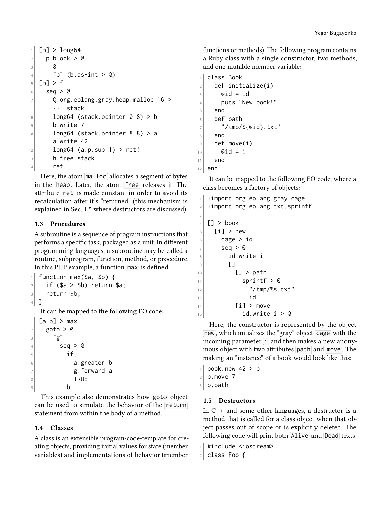```
1 [p] > long64
|2| p.block > @
3 8
|4| [b] (b.as-int > @)
5 [p] > f
6 \mid seq > @
7 Q.org.eolang.gray.heap.malloc 16 >↩→ stack
|8| long64 (stack.pointer 0 8) > b
9 b.write 7
10 long64 (stack.pointer 8 8) > a
11 a.write 42
12 long64 (a.p.sub 1) > ret!
13 h.free stack
14 ret
```
Here, the atom malloc allocates a segment of bytes in the heap. Later, the atom free releases it. The attribute ret is made constant in order to avoid its recalculation after it's "returned" (this mechanism is explained in Sec. [1.5](#page-3-2) where destructors are discussed).

## <span id="page-3-0"></span>1.3 Procedures

A subroutine is a sequence of program instructions that performs a specific task, packaged as a unit. In different programming languages, a subroutine may be called a routine, subprogram, function, method, or procedure. In this PHP example, a function max is defined:

```
function max($a, $b) {
|2| if ($a > $b) return $a;
3 return $b;
4 }
  It can be mapped to the following EO code:
1 [a b] > max
```

```
|_{2}| goto > @
3 [g]
4 \times 1 seq > @
5 if.
6 a.greater b
\vert z \vert g.forward a
8 TRUE
9 b
```
This example also demonstrates how goto object can be used to simulate the behavior of the return statement from within the body of a method.

## <span id="page-3-1"></span>1.4 Classes

A class is an extensible program-code-template for creating objects, providing initial values for state (member variables) and implementations of behavior (member

functions or methods). The following program contains a Ruby class with a single constructor, two methods, and one mutable member variable:

```
class Book
|2| def initialize(i)
_3 @id = id
4 puts "New book!"
5 end
6 def path
      7 "/tmp/${@id}.txt"
8 end
9 def move(i)
|_{10}| @id = i
11 end
12 end
```
3

It can be mapped to the following EO code, where a class becomes a factory of objects:

```
1 +import org.eolang.gray.cage
|2| +import org.eolang.txt.sprintf
4 [] > book
5 [i] > new
6 cage > id
7 seq > @
8 id.write i
\vert []
\lceil \cdot \rceil > path
11 sprintf > @
\frac{1}{2} "/tmp/%s.txt"
\begin{array}{ccc} \n 13 & \text{13} \n \end{array}_{14} [i] > move
15 id.write i > @
```
Here, the constructor is represented by the object new, which initializes the "gray" object cage with the incoming parameter  $\overline{i}$  and then makes a new anonymous object with two attributes path and move . The making an "instance" of a book would look like this:

```
book.new 42 > bb.move 7
3 b.path
```
### <span id="page-3-2"></span>1.5 Destructors

In C++ and some other languages, a destructor is a method that is called for a class object when that object passes out of scope or is explicitly deleted. The following code will print both Alive and Dead texts:

```
_1 #include <iostream>
```

```
2 class Foo {
```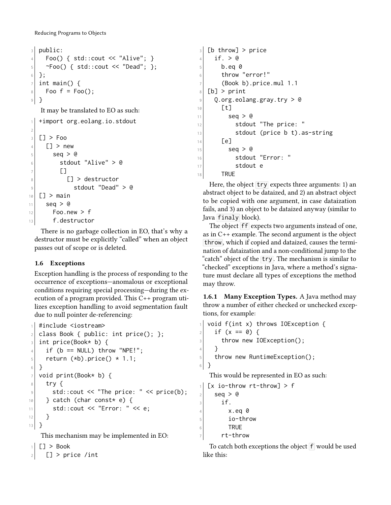```
3 public:
|4| Foo() { std::cout << "Alive"; }
\sim Foo() { std::cout << "Dead"; };
6 };
7 int main() {
|8| Foo f = Foo();
9 }
```
It may be translated to EO as such:

```
1 +import org.eolang.io.stdout
2
3 \vert \vert > Foo
4 [] > new
5 seq > @
6 stdout "Alive" > @
7 []
8 a [] > destructor
\vert stdout "Dead" > @
10 [] > main
11 seq > @
12 Foo.new > f
13 f.destructor
```
There is no garbage collection in EO, that's why a destructor must be explicitly "called" when an object passes out of scope or is deleted.

# <span id="page-4-0"></span>1.6 Exceptions

Exception handling is the process of responding to the occurrence of exceptions—anomalous or exceptional conditions requiring special processing—during the execution of a program provided. This C++ program utilizes exception handling to avoid segmentation fault due to null pointer de-referencing:

```
#include <iostream>
|2| class Book { public: int price(); };
_3 int price(Book* b) {
4 if (b == NULL) throw "NPE!";
|5| return (*b).price() * 1.1;
6 }
7 void print(Book* b) {
8 try {
|\cdot| std::cout << "The price: " << price(b);
10 } catch (char const* e) {
\vert std::cout << "Error: " << e;
12 }
13 }
```
This mechanism may be implemented in EO:

```
\lceil \cdot \rceil > Book
```

```
|2| [] > price /int
```

```
_3 [b throw] > price
4 if. > 05 b.eq 0
6 throw "error!"
7 (Book b).price.mul 1.1
|8| [b] > print
\lvert \varphi \rvert = 0.org.eolang.gray.try > @
10 \sigma \sigma11 seg > @
12 stdout "The price: "
\vert 13 stdout (price b t).as-string
\begin{bmatrix} 14 \end{bmatrix} [e]
15 seq > @
16 stdout "Error: "
17 stdout e
18 TRUE
```
Here, the object  $try$  expects three arguments: 1) an abstract object to be dataized, and 2) an abstract object to be copied with one argument, in case dataization fails, and 3) an object to be dataized anyway (similar to Java finaly block).

The object  $f$  expects two arguments instead of one, as in C++ example. The second argument is the object throw, which if copied and dataized, causes the termination of dataization and a non-conditional jump to the "catch" object of the  $\overline{\text{try}}$ . The mechanism is similar to "checked" exceptions in Java, where a method's signature must declare all types of exceptions the method may throw.

1.6.1 Many Exception Types. A Java method may throw a number of either checked or unchecked exceptions, for example:

```
1 void f(int x) throws IOException {
2 if (x == 0) {
3 throw new IOException();
4 }
5 throw new RuntimeException();
6 }
```
This would be represented in EO as such:

```
[x io-throw rt-throw] > f
|2| seq > @
3 if.
4 \times.eq 0
5 io-throw
6 TRUE
7 rt-throw
```
To catch both exceptions the object  $f$  would be used like this: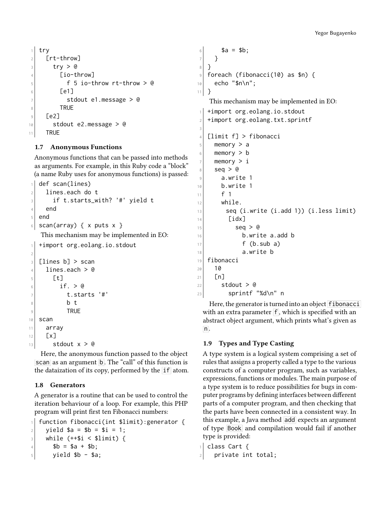```
1 try
2 [rt-throw]
3 try > @
4 [io-throw]
5 f 5 io-throw rt-throw > @
6 [ [ [ ] [ ]7 stdout e1.message > @
8 TRUE
9 [e2]
10 stdout e2.message > @
11 TRUE
```
## <span id="page-5-0"></span>1.7 Anonymous Functions

Anonymous functions that can be passed into methods as arguments. For example, in this Ruby code a "block" (a name Ruby uses for anonymous functions) is passed:

```
def scan(lines)
_2 lines.each do t
3 if t.starts_with? '#' yield t
4 end
5 end
6 scan(array) { x puts x }
   This mechanism may be implemented in EO:
   +import org.eolang.io.stdout
2
_3 [lines b] > scan
_4 lines.each > @
5 \sqrt{t}\begin{array}{cc} \circ & \circ \\ \circ & \circ \end{array} if. > @
\vert \tau \vert t.starts '#'
\vert b t
9 TRUE
10 scan
11 array
12 [x]
```

```
13 stdout x > 0
```
Here, the anonymous function passed to the object scan as an argument  $\overline{b}$ . The "call" of this function is the dataization of its copy, performed by the  $if$  atom.

### <span id="page-5-1"></span>1.8 Generators

A generator is a routine that can be used to control the iteration behaviour of a loop. For example, this PHP program will print first ten Fibonacci numbers:

```
function fibonacci(int $limit): generator {
|2| yield $a = $b = $i = 1;
_3 while (++$i < $limit) {
4 $b = $a + $b;5 yield $b - $a;
```

```
6 \mid \$a = $b;
7 }
8 }
9 foreach (fibonacci(10) as $n) {
|10| echo "$n\n";
11 }
   This mechanism may be implemented in EO:
1 +import org.eolang.io.stdout
|2| +import org.eolang.txt.sprintf
3
4 [limit f] > fibonacci
5 memory > a
6 memory > b7 memory > i
|8| seq > @
9 a.write 1
10 b.write 1
11 f 1
12 while.
|13| seq (i.write (i.add 1)) (i.less limit)
14 \boxed{\text{idx}}15 seq > @
16 b.write a.add b
17 f (b.sub a)
\begin{array}{ccc} \text{18} & \text{a} \text{.} \text{write} & \text{b} \end{array}19 fibonacci
20 | 10_{21} [n]
|22| stdout > @
23 sprintf "%d\n" n
```
Here, the generator is turned into an object fibonacci with an extra parameter  $\mathsf{F}$ , which is specified with an abstract object argument, which prints what's given as  $n$ .

## <span id="page-5-2"></span>1.9 Types and Type Casting

A type system is a logical system comprising a set of rules that assigns a property called a type to the various constructs of a computer program, such as variables, expressions, functions or modules. The main purpose of a type system is to reduce possibilities for bugs in computer programs by defining interfaces between different parts of a computer program, and then checking that the parts have been connected in a consistent way. In this example, a Java method add expects an argument of type Book and compilation would fail if another type is provided:

```
1 class Cart {
|2| private int total;
```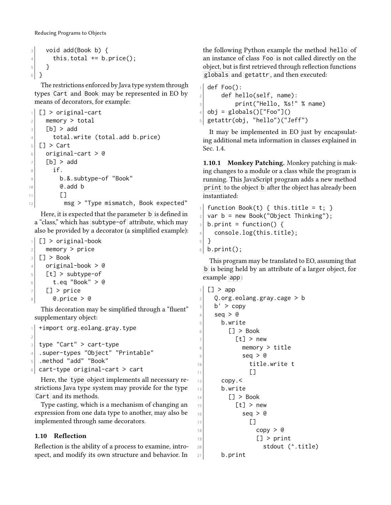```
3 void add(Book b) {
4 this.total += b.price();
5 }
6 }
```
The restrictions enforced by Java type system through types Cart and Book may be represented in EO by means of decorators, for example:

```
[] > original-cart
|2| memory > total
_3 [b] > add
|4| total.write (total.add b.price)
_5 [ \Box > Cart
6 original-cart > @
7 [b] > add
| if
9 b.&.subtype-of "Book"
\begin{array}{ccc} \n\begin{array}{ccc} \n\begin{array}{ccc} \n\end{array} & \n\end{array} 0. add b
11 []
12 msg > "Type mismatch, Book expected"
```
Here, it is expected that the parameter  $\overline{b}$  is defined in a "class," which has subtype-of attribute, which may also be provided by a decorator (a simplified example):

 $1$  [] > original-book  $|2|$  memory > price  $_3$ |  $\Box$  > Book <sup>4</sup> original-book > @  $5$  [t] > subtype-of  $6$  t.eq "Book" > @  $7$  [] > price  $|8|$  @.price > @

This decoration may be simplified through a "fluent" supplementary object:

```
+import org.eolang.gray.type
2
_3 type "Cart" > cart-type
4 .super-types "Object" "Printable"
5 .method "add" "Book"
6 cart-type original-cart > cart
```
Here, the type object implements all necessary restrictions Java type system may provide for the type Cart and its methods.

Type casting, which is a mechanism of changing an expression from one data type to another, may also be implemented through same decorators.

## <span id="page-6-0"></span>1.10 Reflection

Reflection is the ability of a process to examine, introspect, and modify its own structure and behavior. In

the following Python example the method hello of an instance of class Foo is not called directly on the object, but is first retrieved through reflection functions globals and getattr , and then executed:

def Foo():  $|2|$  def hello(self, name): <sup>3</sup> print("Hello, %s!" % name)  $_4$  obj = globals()["Foo"]() <sup>5</sup> getattr(obj, "hello")("Jeff")

It may be implemented in EO just by encapsulating additional meta information in classes explained in Sec. [1.4.](#page-3-1)

1.10.1 Monkey Patching. Monkey patching is making changes to a module or a class while the program is running. This JavaScript program adds a new method print to the object **b** after the object has already been instantiated:

```
1 function Book(t) { this.title = t; }
|2| var b = new Book("Object Thinking");
\vert b.print = function() {
|4| console.log(this.title);
5 \mid \}6 \mid b.print();
```
This program may be translated to EO, assuming that b is being held by an attribute of a larger object, for example app :

```
1 [] > app
|2| Q.org.eolang.gray.cage > b
3 b' > copy
    seq > @5 b.write
6 \Box > Book
7 [t] > new
8 memory > title
\vert seq > @
10 title.write t
\begin{bmatrix} 11 \end{bmatrix} []
12 copy.
13 b.write
\begin{bmatrix} 14 \end{bmatrix} [] > Book
15 [t] > new
16 seq > @
\begin{bmatrix} 17 \end{bmatrix} \begin{bmatrix} 1 \end{bmatrix}18 copy > @
19 [] > print
20 stdout (^.title)
_{21} b.print
```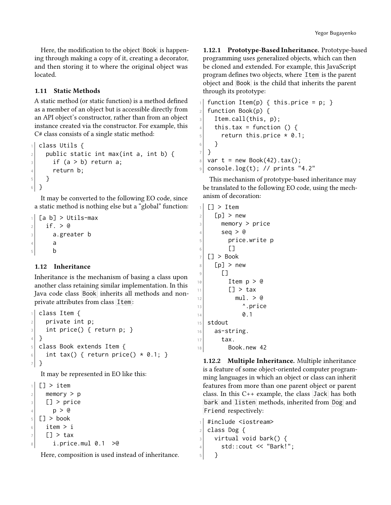Here, the modification to the object Book is happening through making a copy of it, creating a decorator, and then storing it to where the original object was located.

#### <span id="page-7-0"></span>1.11 Static Methods

A static method (or static function) is a method defined as a member of an object but is accessible directly from an API object's constructor, rather than from an object instance created via the constructor. For example, this C# class consists of a single static method:

```
class Utils {
|2| public static int max(int a, int b) {
3 if (a > b) return a;
4 return b;
5 }
6 \, | \, }
```
It may be converted to the following EO code, since a static method is nothing else but a "global" function:

```
[a b] > Utils-max
2 if > 03 a.greater b
4 a
5 b
```
### <span id="page-7-1"></span>1.12 Inheritance

Inheritance is the mechanism of basing a class upon another class retaining similar implementation. In this Java code class Book inherits all methods and nonprivate attributes from class Item:

```
1 class Item {
|2| private int p;
3 int price() { return p; }
4 }
5 class Book extends Item {
6 int tax() { return price() * 0.1; }
7 }
```
It may be represented in EO like this:

```
[] > item
|2| memory > p
_3 [] > price
4 \vert \qquad p > 05 \vert \vert > book
6 item > i
7 [] > tax
| \t i.price.mul 0.1 > 0
```
Here, composition is used instead of inheritance.

1.12.1 Prototype-Based Inheritance. Prototype-based programming uses generalized objects, which can then be cloned and extended. For example, this JavaScript program defines two objects, where Item is the parent object and Book is the child that inherits the parent through its prototype:

```
1 function Item(p) { this.price = p; }
2 function Book(p) {
3 Item.call(this, p);
4 this.tax = function () {
|5| return this.price * 0.1;
6 }
7 }
  var t = new Book(42).tax();
\lvert \cdot \rvert console.log(t); // prints "4.2"
```
This mechanism of prototype-based inheritance may be translated to the following EO code, using the mechanism of decoration:

```
[] > Item
|2| [p] > new
3 memory > price
4 \times 10^4 seq > @
5 price.write p
\begin{bmatrix} 6 \end{bmatrix} []
7 [] > Book
|s| [p] > new
9 []
10 Item p > 011 [] > tax
_{12} mul. > @
\frac{13}{2} \sim \frac{1}{2} \sim \frac{1}{2} \sim \frac{1}{2}14 0.1
15 stdout
16 as-string.
17 tax.
18 Book.new 42
```
1.12.2 Multiple Inheritance. Multiple inheritance is a feature of some object-oriented computer programming languages in which an object or class can inherit features from more than one parent object or parent class. In this C++ example, the class Jack has both bark and listen methods, inherited from Dog and Friend respectively:

```
_1 #include <iostream>
2 class Dog {
\vert virtual void bark() {
|4| std::cout << "Bark!";
5 }
```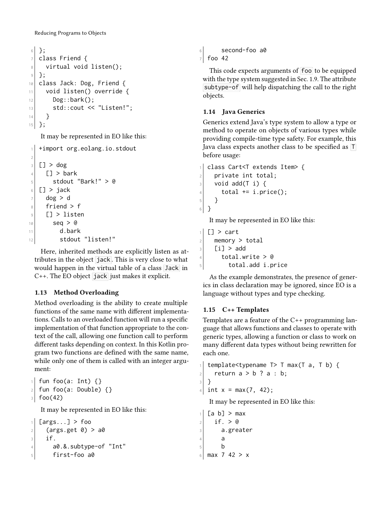```
6 };
7 class Friend {
\vert virtual void listen();
9 };
10 class Jack: Dog, Friend {
11 void listen() override {
12 Dog::bark();
\begin{array}{c} \text{13} \\ \text{13} \end{array} std::cout << "Listen!";
14 }
```

```
15 };
```
It may be represented in EO like this:

```
1 +import org.eolang.io.stdout
2
3 [] > dog
4 \sqrt{1} > bark
|5| stdout "Bark!" > @
6 [] > jack
7 dog > d
8 friend > f
9 [] > listen
10 seq > @
11 d.bark
12 stdout "listen!"
```
Here, inherited methods are explicitly listen as attributes in the object jack . This is very close to what would happen in the virtual table of a class Jack in C++. The EO object jack just makes it explicit.

## <span id="page-8-0"></span>1.13 Method Overloading

Method overloading is the ability to create multiple functions of the same name with different implementations. Calls to an overloaded function will run a specific implementation of that function appropriate to the context of the call, allowing one function call to perform different tasks depending on context. In this Kotlin program two functions are defined with the same name, while only one of them is called with an integer argument:

```
fun foo(a: Int) \{\}\lceil 2 \rceil fun foo(a: Double) {}
3 foo(42)
   It may be represented in EO like this:
```

```
[args...] > foo|2| (args.get 0) > a0
3 if.
|4| a0.&.subtype-of "Int"
5 first-foo a0
```

```
6 second-foo a0
7 foo 42
```
This code expects arguments of foo to be equipped with the type system suggested in Sec. [1.9.](#page-5-2) The attribute subtype-of will help dispatching the call to the right objects.

## <span id="page-8-1"></span>1.14 Java Generics

Generics extend Java's type system to allow a type or method to operate on objects of various types while providing compile-time type safety. For example, this Java class expects another class to be specified as T before usage:

```
1 class Cart<T extends Item> {
|2| private int total;
\vert void add(T i) {
|4| total += i.price();
5 }
6 }
```
It may be represented in EO like this:

```
[] > cart
|2| memory > total
_3 [i] > add
|4| total.write > @
5 total.add i.price
```
As the example demonstrates, the presence of generics in class declaration may be ignored, since EO is a language without types and type checking.

# <span id="page-8-2"></span>1.15 C++ Templates

Templates are a feature of the C++ programming language that allows functions and classes to operate with generic types, allowing a function or class to work on many different data types without being rewritten for each one.

```
template<typename T > T max(T a, T b) {
|2| return a > b ? a : b;
3 }
4 int x = max(7, 42);
```
It may be represented in EO like this:

```
[a \ b] > max2 if. > @
3 a.greater
4 a
5 b
6 max 7 42 > x
```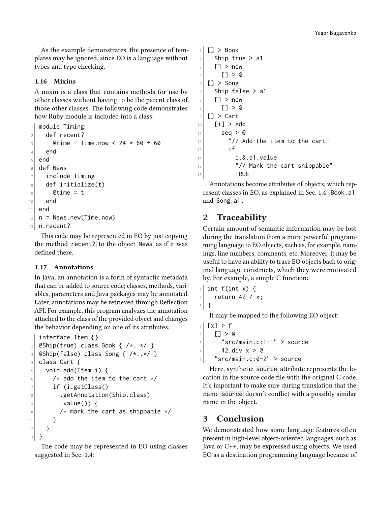As the example demonstrates, the presence of templates may be ignored, since EO is a language without types and type checking.

#### <span id="page-9-0"></span>1.16 Mixins

A mixin is a class that contains methods for use by other classes without having to be the parent class of those other classes. The following code demonstrates how Ruby module is included into a class:

```
module Timing
2 def recent?
_3 @time - Time.now < 24 \star 60 \star 60
4 end
5 end
6 def News
7 include Timing
8 def initialize(t)
|9| @time = t
10 end
11 end
12 \mid n = News.new(Time.now)
13 n.recent?
```
This code may be represented in EO by just copying the method recent? to the object News as if it was defined there.

#### <span id="page-9-1"></span>1.17 Annotations

In Java, an annotation is a form of syntactic metadata that can be added to source code; classes, methods, variables, parameters and Java packages may be annotated. Later, annotations may be retrieved through Reflection API. For example, this program analyzes the annotation attached to the class of the provided object and changes the behavior depending on one of its attributes:

```
interface Item {}
|2| @Ship(true) class Book { /*..*/ }
_3 @Ship(false) class Song { /*..*/ }
4 class Cart {
5 void add(Item i) {
6 /* add the item to the cart */
7 if (i.getClass()
8 .getAnnotation(Ship.class)
\lvert \cdot \rvert . value()) {
10 /* mark the cart as shippable */
11 }
12 }
13 }
```
The code may be represented in EO using classes suggested in Sec. [1.4:](#page-3-1)

```
1 [] > Book
 |2| Ship true > a1
 _3 [] > new
 4 [] > 05 [] > Song
 6 Ship false > a1
 7 [] > new
 |_8 [] > @
 9 [] > Cart
_{10} [i] > add
11 seq > @
12 \frac{1}{2} \frac{1}{2} \frac{1}{2} \frac{1}{2} \frac{1}{2} \frac{1}{2} \frac{1}{2} \frac{1}{2} \frac{1}{2} \frac{1}{2} \frac{1}{2} \frac{1}{2} \frac{1}{2} \frac{1}{2} \frac{1}{2} \frac{1}{2} \frac{1}{2} \frac{1}{2} \frac{1}{2} \frac{1}{2} \frac{1}{2} \frac{1}{13 if.
14 i.&.a1.value
15 \frac{1}{15} \frac{1}{2} \frac{1}{2} Mark the cart shippable"
16 TRUE
```
Annotations become attributes of objects, which represent classes in EO, as explained in Sec. [1.4:](#page-3-1) Book.a1 and Song.a1 .

# 2 Traceability

Certain amount of semantic information may be lost during the translation from a more powerful programming language to EO objects, such as, for example, namings, line numbers, comments, etc. Moreover, it may be useful to have an ability to trace EO objects back to original language constructs, which they were motivated by. For example, a simple C function:

```
1 int f(int x) {
|z| return 42 / x;
3 }
```
It may be mapped to the following EO object:

 $[x] > f$  $_2$  [] > @  $_3$   $"src/main.c:1-1" > source$ 4 42.div  $x > 0$  $5$  "src/main.c:0-2" > source

Here, synthetic source attribute represents the location in the source code file with the original C code. It's important to make sure during translation that the name source doesn't conflict with a possibly similar name in the object.

# 3 Conclusion

We demonstrated how some language features often present in high-level object-oriented languages, such as Java or C++, may be expressed using objects. We used EO as a destination programming language because of